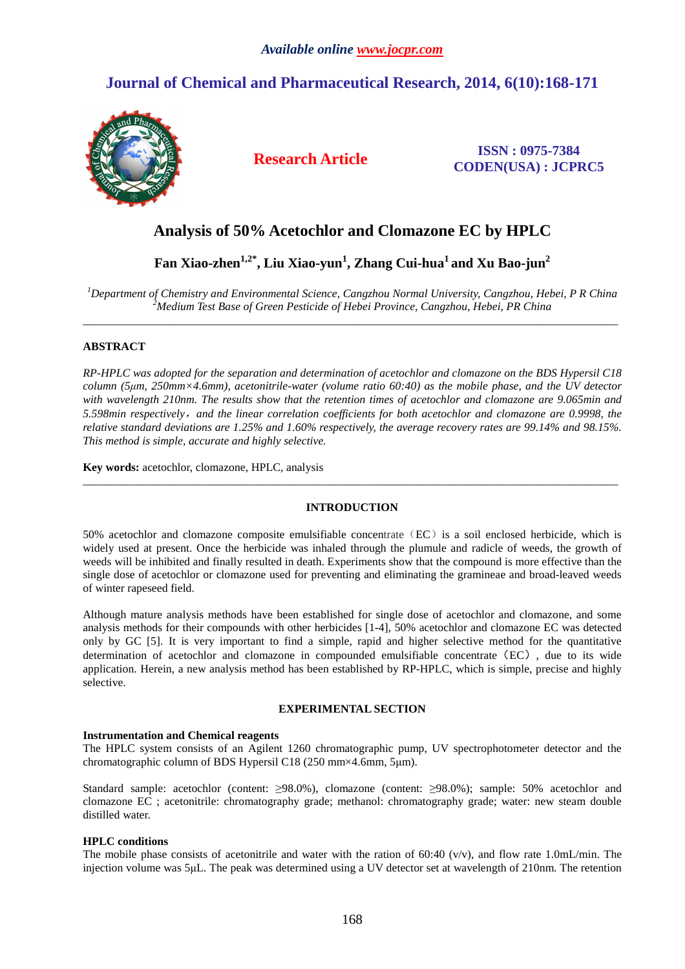## **Journal of Chemical and Pharmaceutical Research, 2014, 6(10):168-171**



**Research Article ISSN : 0975-7384 CODEN(USA) : JCPRC5**

## **Analysis of 50% Acetochlor and Clomazone EC by HPLC**

# **Fan Xiao-zhen1,2\*, Liu Xiao-yun<sup>1</sup> , Zhang Cui-hua<sup>1</sup>and Xu Bao-jun<sup>2</sup>**

*<sup>1</sup>Department of Chemistry and Environmental Science, Cangzhou Normal University, Cangzhou, Hebei, P R China <sup>2</sup>Medium Test Base of Green Pesticide of Hebei Province, Cangzhou, Hebei, PR China \_\_\_\_\_\_\_\_\_\_\_\_\_\_\_\_\_\_\_\_\_\_\_\_\_\_\_\_\_\_\_\_\_\_\_\_\_\_\_\_\_\_\_\_\_\_\_\_\_\_\_\_\_\_\_\_\_\_\_\_\_\_\_\_\_\_\_\_\_\_\_\_\_\_\_\_\_\_\_\_\_\_\_\_\_\_\_\_\_\_\_\_\_* 

## **ABSTRACT**

*RP-HPLC was adopted for the separation and determination of acetochlor and clomazone on the BDS Hypersil C18 column (5µm, 250mm×4.6mm), acetonitrile-water (volume ratio 60:40) as the mobile phase, and the UV detector with wavelength 210nm. The results show that the retention times of acetochlor and clomazone are 9.065min and 5.598min respectively*,*and the linear correlation coefficients for both acetochlor and clomazone are 0.9998, the relative standard deviations are 1.25% and 1.60% respectively, the average recovery rates are 99.14% and 98.15%. This method is simple, accurate and highly selective.* 

**Key words:** acetochlor, clomazone, HPLC, analysis

## **INTRODUCTION**

*\_\_\_\_\_\_\_\_\_\_\_\_\_\_\_\_\_\_\_\_\_\_\_\_\_\_\_\_\_\_\_\_\_\_\_\_\_\_\_\_\_\_\_\_\_\_\_\_\_\_\_\_\_\_\_\_\_\_\_\_\_\_\_\_\_\_\_\_\_\_\_\_\_\_\_\_\_\_\_\_\_\_\_\_\_\_\_\_\_\_\_\_\_* 

50% acetochlor and clomazone composite emulsifiable concentrate (EC) is a soil enclosed herbicide, which is widely used at present. Once the herbicide was inhaled through the plumule and radicle of weeds, the growth of weeds will be inhibited and finally resulted in death. Experiments show that the compound is more effective than the single dose of acetochlor or clomazone used for preventing and eliminating the gramineae and broad-leaved weeds of winter rapeseed field.

Although mature analysis methods have been established for single dose of acetochlor and clomazone, and some analysis methods for their compounds with other herbicides [1-4], 50% acetochlor and clomazone EC was detected only by GC [5]. It is very important to find a simple, rapid and higher selective method for the quantitative determination of acetochlor and clomazone in compounded emulsifiable concentrate(EC), due to its wide application. Herein, a new analysis method has been established by RP-HPLC, which is simple, precise and highly selective.

### **EXPERIMENTAL SECTION**

### **Instrumentation and Chemical reagents**

The HPLC system consists of an Agilent 1260 chromatographic pump, UV spectrophotometer detector and the chromatographic column of BDS Hypersil C18 (250 mm×4.6mm, 5µm).

Standard sample: acetochlor (content: ≥98.0%), clomazone (content: ≥98.0%); sample: 50% acetochlor and clomazone EC ; acetonitrile: chromatography grade; methanol: chromatography grade; water: new steam double distilled water.

### **HPLC conditions**

The mobile phase consists of acetonitrile and water with the ration of 60:40 (v/v), and flow rate 1.0mL/min. The injection volume was 5µL. The peak was determined using a UV detector set at wavelength of 210nm. The retention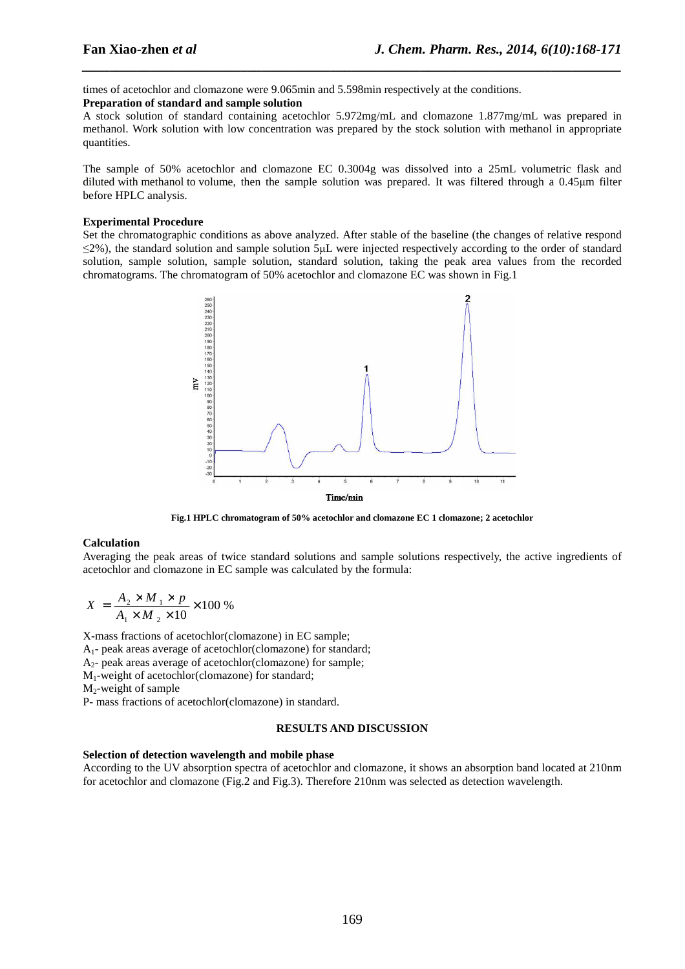times of acetochlor and clomazone were 9.065min and 5.598min respectively at the conditions.

#### **Preparation of standard and sample solution**

A stock solution of standard containing acetochlor 5.972mg/mL and clomazone 1.877mg/mL was prepared in methanol. Work solution with low concentration was prepared by the stock solution with methanol in appropriate quantities.

*\_\_\_\_\_\_\_\_\_\_\_\_\_\_\_\_\_\_\_\_\_\_\_\_\_\_\_\_\_\_\_\_\_\_\_\_\_\_\_\_\_\_\_\_\_\_\_\_\_\_\_\_\_\_\_\_\_\_\_\_\_\_\_\_\_\_\_\_\_\_\_\_\_\_\_\_\_\_*

The sample of 50% acetochlor and clomazone EC 0.3004g was dissolved into a 25mL volumetric flask and diluted with methanol to volume, then the sample solution was prepared. It was filtered through a 0.45µm filter before HPLC analysis.

#### **Experimental Procedure**

Set the chromatographic conditions as above analyzed. After stable of the baseline (the changes of relative respond ≤2%), the standard solution and sample solution 5µL were injected respectively according to the order of standard solution, sample solution, sample solution, standard solution, taking the peak area values from the recorded chromatograms. The chromatogram of 50% acetochlor and clomazone EC was shown in Fig.1



**Fig.1 HPLC chromatogram of 50% acetochlor and clomazone EC 1 clomazone; 2 acetochlor** 

#### **Calculation**

Averaging the peak areas of twice standard solutions and sample solutions respectively, the active ingredients of acetochlor and clomazone in EC sample was calculated by the formula:

$$
X = \frac{A_2 \times M_1 \times p}{A_1 \times M_2 \times 10} \times 100\%
$$

X-mass fractions of acetochlor(clomazone) in EC sample; A1- peak areas average of acetochlor(clomazone) for standard; A2- peak areas average of acetochlor(clomazone) for sample; M1-weight of acetochlor(clomazone) for standard;  $M_2$ -weight of sample P- mass fractions of acetochlor(clomazone) in standard.

#### **RESULTS AND DISCUSSION**

#### **Selection of detection wavelength and mobile phase**

According to the UV absorption spectra of acetochlor and clomazone, it shows an absorption band located at 210nm for acetochlor and clomazone (Fig.2 and Fig.3). Therefore 210nm was selected as detection wavelength.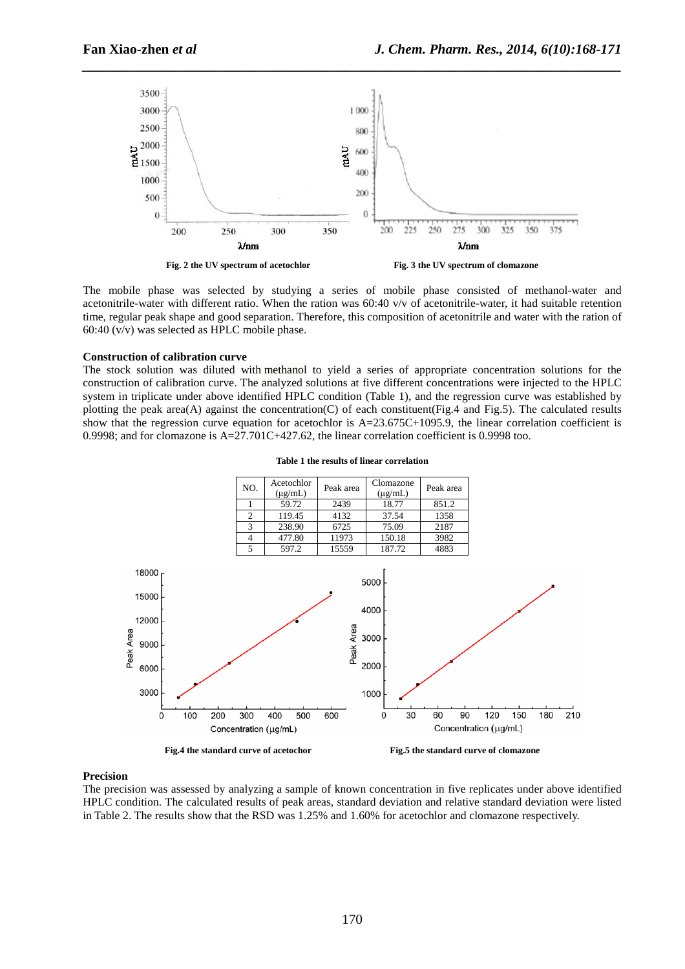

*\_\_\_\_\_\_\_\_\_\_\_\_\_\_\_\_\_\_\_\_\_\_\_\_\_\_\_\_\_\_\_\_\_\_\_\_\_\_\_\_\_\_\_\_\_\_\_\_\_\_\_\_\_\_\_\_\_\_\_\_\_\_\_\_\_\_\_\_\_\_\_\_\_\_\_\_\_\_*

The mobile phase was selected by studying a series of mobile phase consisted of methanol-water and acetonitrile-water with different ratio. When the ration was  $60:40$  v/v of acetonitrile-water, it had suitable retention time, regular peak shape and good separation. Therefore, this composition of acetonitrile and water with the ration of 60:40 (v/v) was selected as HPLC mobile phase.

#### **Construction of calibration curve**

The stock solution was diluted with methanol to yield a series of appropriate concentration solutions for the construction of calibration curve. The analyzed solutions at five different concentrations were injected to the HPLC system in triplicate under above identified HPLC condition (Table 1), and the regression curve was established by plotting the peak area(A) against the concentration(C) of each constituent(Fig.4 and Fig.5). The calculated results show that the regression curve equation for acetochlor is  $A=23.675C+1095.9$ , the linear correlation coefficient is 0.9998; and for clomazone is  $A=27.701C+427.62$ , the linear correlation coefficient is 0.9998 too.



**Table 1 the results of linear correlation** 

Fig.4 the standard curve of acetochor **Fig.5** the standard curve of clomazone

#### **Precision**

The precision was assessed by analyzing a sample of known concentration in five replicates under above identified HPLC condition. The calculated results of peak areas, standard deviation and relative standard deviation were listed in Table 2. The results show that the RSD was 1.25% and 1.60% for acetochlor and clomazone respectively.